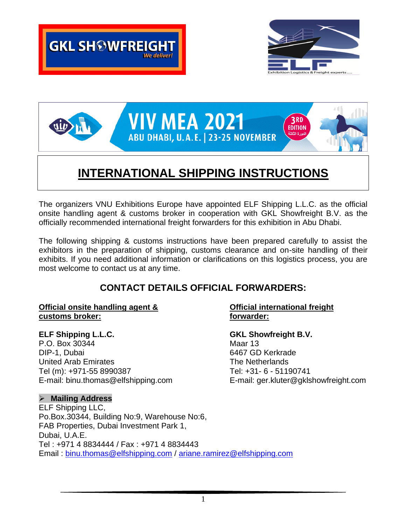





# **INTERNATIONAL SHIPPING INSTRUCTIONS**

The organizers VNU Exhibitions Europe have appointed ELF Shipping L.L.C. as the official onsite handling agent & customs broker in cooperation with GKL Showfreight B.V. as the officially recommended international freight forwarders for this exhibition in Abu Dhabi.

The following shipping & customs instructions have been prepared carefully to assist the exhibitors in the preparation of shipping, customs clearance and on-site handling of their exhibits. If you need additional information or clarifications on this logistics process, you are most welcome to contact us at any time.

# **CONTACT DETAILS OFFICIAL FORWARDERS:**

### **Official onsite handling agent & Official international freight customs broker: forwarder:**

**ELF Shipping L.L.C. GKL Showfreight B.V.** P.O. Box 30344 Maar 13 DIP-1, Dubai 6467 GD Kerkrade United Arab Emirates **The Netherlands** The Netherlands Tel (m): +971-55 8990387 Tel: +31- 6 - 51190741

# ➢ **Mailing Address**

ELF Shipping LLC, Po.Box.30344, Building No:9, Warehouse No:6, FAB Properties, Dubai Investment Park 1, Dubai, U.A.E. Tel : +971 4 8834444 / Fax : +971 4 8834443 Email : [binu.thomas@elfshipping.com](mailto:binu.thomas@elfshipping.com) / [ariane.ramirez@elfshipping.com](mailto:ariane.ramirez@elfshipping.com)

E-mail: binu.thomas@elfshipping.com E-mail: ger.kluter@gklshowfreight.com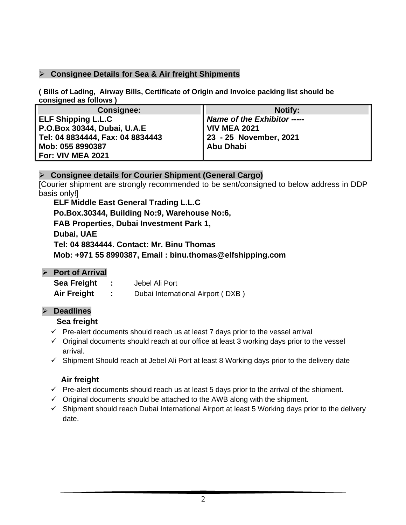# ➢ **Consignee Details for Sea & Air freight Shipments**

**( Bills of Lading, Airway Bills, Certificate of Origin and Invoice packing list should be consigned as follows )**

| <b>Consignee:</b>                  | <b>Notify:</b>              |
|------------------------------------|-----------------------------|
| <b>ELF Shipping L.L.C</b>          | Name of the Exhibitor ----- |
| <b>P.O.Box 30344, Dubai, U.A.E</b> | VIV MEA 2021                |
| Tel: 04 8834444, Fax: 04 8834443   | 23 - 25 November, 2021      |
| Mob: 055 8990387                   | Abu Dhabi                   |
| <b>For: VIV MEA 2021</b>           |                             |

# ➢ **Consignee details for Courier Shipment (General Cargo)**

[Courier shipment are strongly recommended to be sent/consigned to below address in DDP basis only!]

**ELF Middle East General Trading L.L.C Po.Box.30344, Building No:9, Warehouse No:6, FAB Properties, Dubai Investment Park 1, Dubai, UAE Tel: 04 8834444. Contact: Mr. Binu Thomas Mob: +971 55 8990387, Email : binu.thomas@elfshipping.com**

# ➢ **Port of Arrival**

| Sea Freight | Jebel Ali Port                    |
|-------------|-----------------------------------|
| Air Freight | Dubai International Airport (DXB) |

#### ➢ **Deadlines**

#### **Sea freight**

- $\checkmark$  Pre-alert documents should reach us at least 7 days prior to the vessel arrival
- ✓ Original documents should reach at our office at least 3 working days prior to the vessel arrival.
- ✓ Shipment Should reach at Jebel Ali Port at least 8 Working days prior to the delivery date

# **Air freight**

- $\checkmark$  Pre-alert documents should reach us at least 5 days prior to the arrival of the shipment.
- $\checkmark$  Original documents should be attached to the AWB along with the shipment.
- $\checkmark$  Shipment should reach Dubai International Airport at least 5 Working days prior to the delivery date.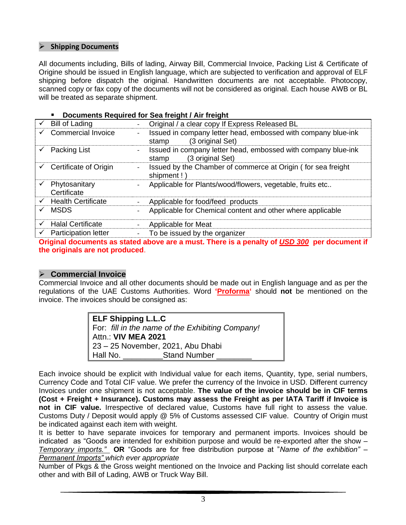#### ➢ **Shipping Documents**

All documents including, Bills of lading, Airway Bill, Commercial Invoice, Packing List & Certificate of Origine should be issued in English language, which are subjected to verification and approval of ELF shipping before dispatch the original. Handwritten documents are not acceptable. Photocopy, scanned copy or fax copy of the documents will not be considered as original. Each house AWB or BL will be treated as separate shipment.

#### **Documents Required for Sea freight / Air freight**

| $\checkmark$ | <b>Bill of Lading</b>             |                                   | Original / a clear copy If Express Released BL                                    |
|--------------|-----------------------------------|-----------------------------------|-----------------------------------------------------------------------------------|
|              | <b>Commercial Invoice</b>         | $\overline{\phantom{a}}$<br>stamp | Issued in company letter head, embossed with company blue-ink<br>(3 original Set) |
|              | Packing List                      | stamp                             | Issued in company letter head, embossed with company blue-ink<br>(3 original Set) |
|              | Certificate of Origin             | shipment!)                        | Issued by the Chamber of commerce at Origin (for sea freight)                     |
| $\checkmark$ | Phytosanitary<br>Certificate      |                                   | Applicable for Plants/wood/flowers, vegetable, fruits etc                         |
|              | $\checkmark$ Health Certificate   |                                   | Applicable for food/feed products                                                 |
| $\checkmark$ | <b>MSDS</b>                       |                                   | Applicable for Chemical content and other where applicable                        |
|              | <b>Halal Certificate</b>          |                                   | Applicable for Meat                                                               |
|              | $\checkmark$ Participation letter |                                   | To be issued by the organizer                                                     |
|              |                                   |                                   |                                                                                   |

**Original documents as stated above are a must. There is a penalty of** *USD 300* **per document if the originals are not produced**.

#### ➢ **Commercial Invoice**

Commercial Invoice and all other documents should be made out in English language and as per the regulations of the UAE Customs Authorities. Word **'Proforma'** should **not** be mentioned on the invoice. The invoices should be consigned as:

> **ELF Shipping L.L.C** For: *fill in the name of the Exhibiting Company!* Attn.: **VIV MEA 2021** 23 – 25 November, 2021, Abu Dhabi Hall No. **Example 15 Stand Number**

Each invoice should be explicit with Individual value for each items, Quantity, type, serial numbers, Currency Code and Total CIF value. We prefer the currency of the Invoice in USD. Different currency Invoices under one shipment is not acceptable. **The value of the invoice should be in CIF terms (Cost + Freight + Insurance). Customs may assess the Freight as per IATA Tariff if Invoice is not in CIF value.** Irrespective of declared value, Customs have full right to assess the value. Customs Duty / Deposit would apply @ 5% of Customs assessed CIF value. Country of Origin must be indicated against each item with weight.

It is better to have separate invoices for temporary and permanent imports. Invoices should be indicated as "Goods are intended for exhibition purpose and would be re-exported after the show – *Temporary imports."* **OR** "Goods are for free distribution purpose at "*Name of the exhibition" – Permanent Imports" which ever appropriate*

Number of Pkgs & the Gross weight mentioned on the Invoice and Packing list should correlate each other and with Bill of Lading, AWB or Truck Way Bill.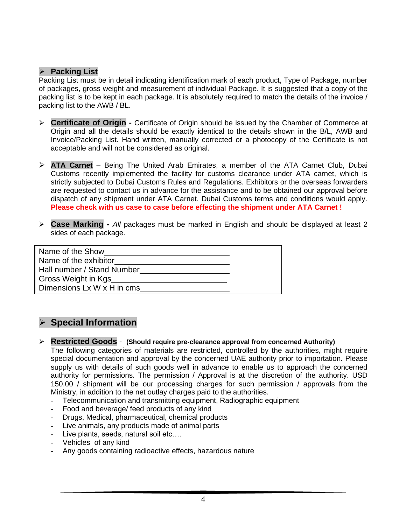#### ➢ **Packing List**

Packing List must be in detail indicating identification mark of each product, Type of Package, number of packages, gross weight and measurement of individual Package. It is suggested that a copy of the packing list is to be kept in each package. It is absolutely required to match the details of the invoice / packing list to the AWB / BL.

- ➢ **Certificate of Origin -** Certificate of Origin should be issued by the Chamber of Commerce at Origin and all the details should be exactly identical to the details shown in the B/L, AWB and Invoice/Packing List. Hand written, manually corrected or a photocopy of the Certificate is not acceptable and will not be considered as original.
- ➢ **ATA Carnet** Being The United Arab Emirates, a member of the ATA Carnet Club, Dubai Customs recently implemented the facility for customs clearance under ATA carnet, which is strictly subjected to Dubai Customs Rules and Regulations. Exhibitors or the overseas forwarders are requested to contact us in advance for the assistance and to be obtained our approval before dispatch of any shipment under ATA Carnet. Dubai Customs terms and conditions would apply. **Please check with us case to case before effecting the shipment under ATA Carnet !**
- ➢ **Case Marking -** *All* packages must be marked in English and should be displayed at least 2 sides of each package.

| Name of the Show           |  |
|----------------------------|--|
| Name of the exhibitor      |  |
| Hall number / Stand Number |  |
| Gross Weight in Kgs        |  |
| Dimensions Lx W x H in cms |  |

# ➢ **Special Information**

#### ➢ **Restricted Goods** - **(Should require pre-clearance approval from concerned Authority)**

The following categories of materials are restricted, controlled by the authorities, might require special documentation and approval by the concerned UAE authority prior to importation. Please supply us with details of such goods well in advance to enable us to approach the concerned authority for permissions. The permission / Approval is at the discretion of the authority. USD 150.00 / shipment will be our processing charges for such permission / approvals from the Ministry, in addition to the net outlay charges paid to the authorities.

- Telecommunication and transmitting equipment, Radiographic equipment
- Food and beverage/ feed products of any kind
- Drugs, Medical, pharmaceutical, chemical products
- Live animals, any products made of animal parts
- Live plants, seeds, natural soil etc....
- Vehicles of any kind
- Any goods containing radioactive effects, hazardous nature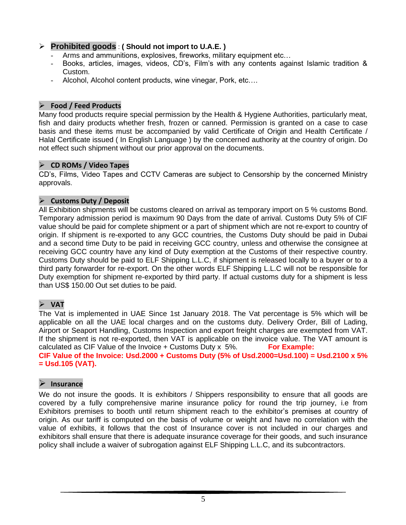# ➢ **Prohibited goods** : **( Should not import to U.A.E. )**

- Arms and ammunitions, explosives, fireworks, military equipment etc...
- Books, articles, images, videos, CD's, Film's with any contents against Islamic tradition & Custom.
- Alcohol, Alcohol content products, wine vinegar, Pork, etc....

#### ➢ **Food / Feed Products**

Many food products require special permission by the Health & Hygiene Authorities, particularly meat, fish and dairy products whether fresh, frozen or canned. Permission is granted on a case to case basis and these items must be accompanied by valid Certificate of Origin and Health Certificate / Halal Certificate issued ( In English Language ) by the concerned authority at the country of origin. Do not effect such shipment without our prior approval on the documents.

#### ➢ **CD ROMs / Video Tapes**

CD's, Films, Video Tapes and CCTV Cameras are subject to Censorship by the concerned Ministry approvals.

### ➢ **Customs Duty / Deposit**

All Exhibition shipments will be customs cleared on arrival as temporary import on 5 % customs Bond. Temporary admission period is maximum 90 Days from the date of arrival. Customs Duty 5% of CIF value should be paid for complete shipment or a part of shipment which are not re-export to country of origin. If shipment is re-exported to any GCC countries, the Customs Duty should be paid in Dubai and a second time Duty to be paid in receiving GCC country, unless and otherwise the consignee at receiving GCC country have any kind of Duty exemption at the Customs of their respective country. Customs Duty should be paid to ELF Shipping L.L.C, if shipment is released locally to a buyer or to a third party forwarder for re-export. On the other words ELF Shipping L.L.C will not be responsible for Duty exemption for shipment re-exported by third party. If actual customs duty for a shipment is less than US\$ 150.00 Out set duties to be paid.

# ➢ **VAT**

The Vat is implemented in UAE Since 1st January 2018. The Vat percentage is 5% which will be applicable on all the UAE local charges and on the customs duty. Delivery Order, Bill of Lading, Airport or Seaport Handling, Customs Inspection and export freight charges are exempted from VAT. If the shipment is not re-exported, then VAT is applicable on the invoice value. The VAT amount is calculated as CIF Value of the Invoice + Customs Duty x 5%. **For Example: CIF Value of the Invoice: Usd.2000 + Customs Duty (5% of Usd.2000=Usd.100) = Usd.2100 x 5% = Usd.105 (VAT).**

# ➢ **Insurance**

We do not insure the goods. It is exhibitors / Shippers responsibility to ensure that all goods are covered by a fully comprehensive marine insurance policy for round the trip journey, i.e from Exhibitors premises to booth until return shipment reach to the exhibitor's premises at country of origin. As our tariff is computed on the basis of volume or weight and have no correlation with the value of exhibits, it follows that the cost of Insurance cover is not included in our charges and exhibitors shall ensure that there is adequate insurance coverage for their goods, and such insurance policy shall include a waiver of subrogation against ELF Shipping L.L.C, and its subcontractors.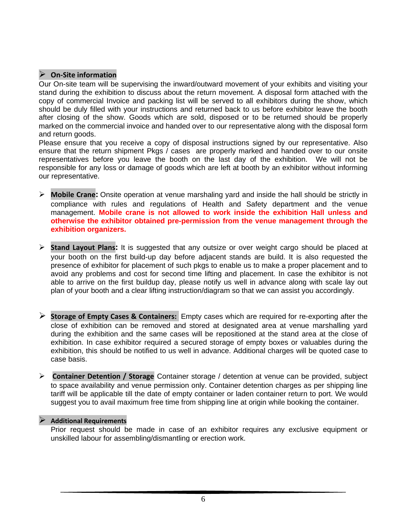### ➢ **On-Site information**

Our On-site team will be supervising the inward/outward movement of your exhibits and visiting your stand during the exhibition to discuss about the return movement. A disposal form attached with the copy of commercial Invoice and packing list will be served to all exhibitors during the show, which should be duly filled with your instructions and returned back to us before exhibitor leave the booth after closing of the show. Goods which are sold, disposed or to be returned should be properly marked on the commercial invoice and handed over to our representative along with the disposal form and return goods.

Please ensure that you receive a copy of disposal instructions signed by our representative. Also ensure that the return shipment Pkgs / cases are properly marked and handed over to our onsite representatives before you leave the booth on the last day of the exhibition. We will not be responsible for any loss or damage of goods which are left at booth by an exhibitor without informing our representative.

- ➢ **Mobile Crane:** Onsite operation at venue marshaling yard and inside the hall should be strictly in compliance with rules and regulations of Health and Safety department and the venue management. **Mobile crane is not allowed to work inside the exhibition Hall unless and otherwise the exhibitor obtained pre-permission from the venue management through the exhibition organizers.**
- ➢ **Stand Layout Plans:** It is suggested that any outsize or over weight cargo should be placed at your booth on the first build-up day before adjacent stands are build. It is also requested the presence of exhibitor for placement of such pkgs to enable us to make a proper placement and to avoid any problems and cost for second time lifting and placement. In case the exhibitor is not able to arrive on the first buildup day, please notify us well in advance along with scale lay out plan of your booth and a clear lifting instruction/diagram so that we can assist you accordingly.
- ➢ **Storage of Empty Cases & Containers:** Empty cases which are required for re-exporting after the close of exhibition can be removed and stored at designated area at venue marshalling yard during the exhibition and the same cases will be repositioned at the stand area at the close of exhibition. In case exhibitor required a secured storage of empty boxes or valuables during the exhibition, this should be notified to us well in advance. Additional charges will be quoted case to case basis.
- ➢ **Container Detention / Storage** Container storage / detention at venue can be provided, subject to space availability and venue permission only. Container detention charges as per shipping line tariff will be applicable till the date of empty container or laden container return to port. We would suggest you to avail maximum free time from shipping line at origin while booking the container.

#### ➢ **Additional Requirements**

Prior request should be made in case of an exhibitor requires any exclusive equipment or unskilled labour for assembling/dismantling or erection work.